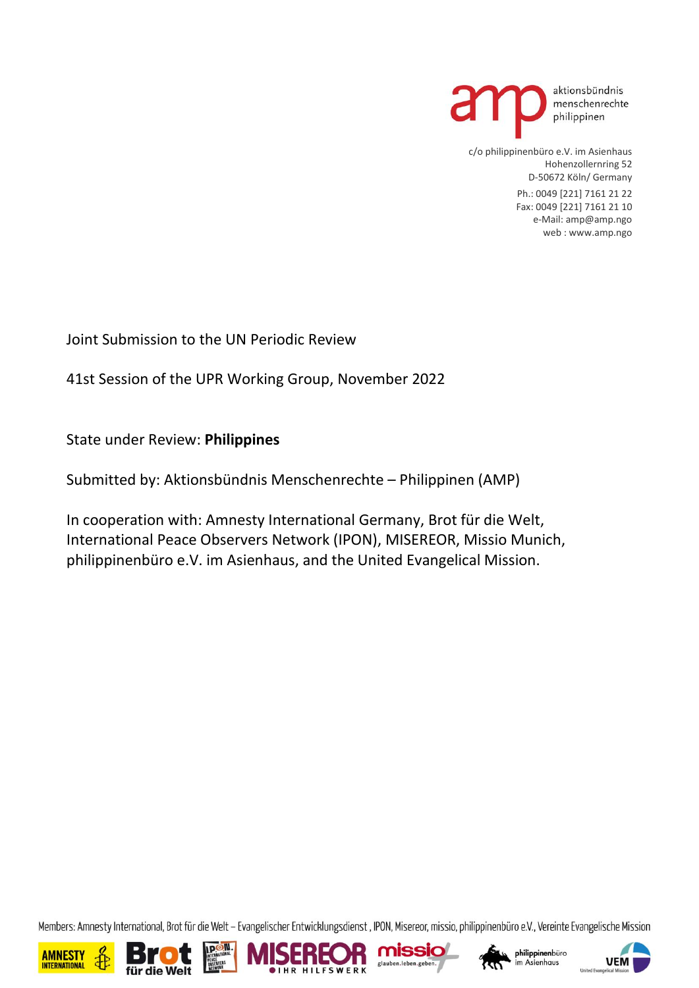

c/o philippinenbüro e.V. im Asienhaus Hohenzollernring 52 D-50672 Köln/ Germany

> Ph.: 0049 [221] 7161 21 22 Fax: 0049 [221] 7161 21 10 e-Mail: amp@amp.ngo web : www.amp.ngo

Joint Submission to the UN Periodic Review

41st Session of the UPR Working Group, November 2022

State under Review: **Philippines**

Submitted by: Aktionsbündnis Menschenrechte – Philippinen (AMP)

In cooperation with: Amnesty International Germany, Brot für die Welt, International Peace Observers Network (IPON), MISEREOR, Missio Munich, philippinenbüro e.V. im Asienhaus, and the United Evangelical Mission.

Members: Amnesty International, Brot für die Welt - Evangelischer Entwicklungsdienst, IPON, Misereor, missio, philippinenbüro e.V., Vereinte Evangelische Mission











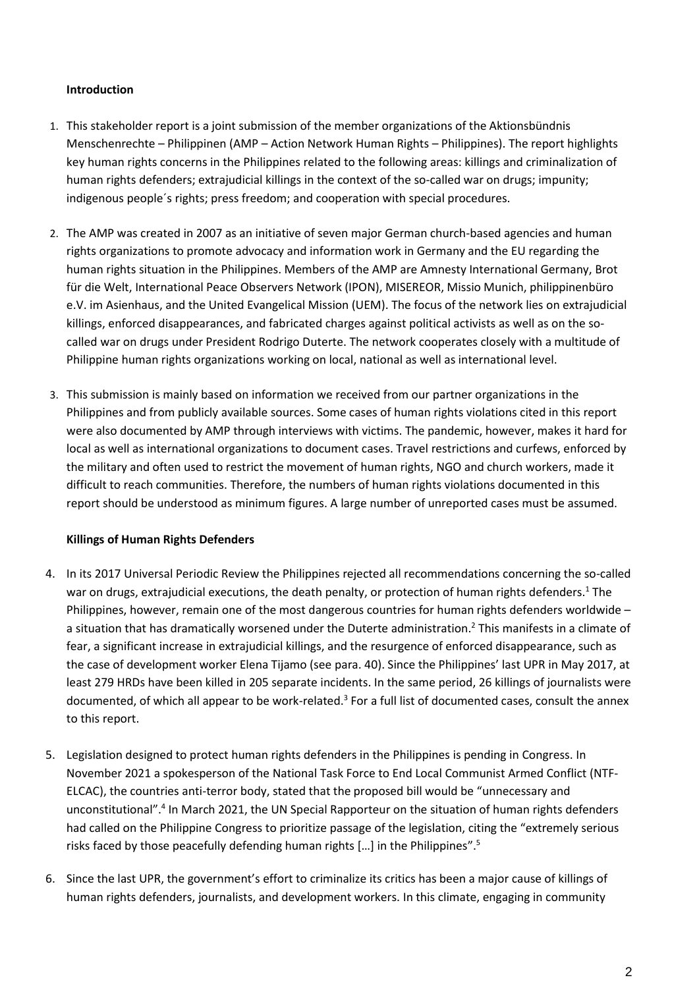## **Introduction**

- 1. This stakeholder report is a joint submission of the member organizations of the Aktionsbündnis Menschenrechte – Philippinen (AMP – Action Network Human Rights – Philippines). The report highlights key human rights concerns in the Philippines related to the following areas: killings and criminalization of human rights defenders; extrajudicial killings in the context of the so-called war on drugs; impunity; indigenous people´s rights; press freedom; and cooperation with special procedures.
- 2. The AMP was created in 2007 as an initiative of seven major German church-based agencies and human rights organizations to promote advocacy and information work in Germany and the EU regarding the human rights situation in the Philippines. Members of the AMP are Amnesty International Germany, Brot für die Welt, International Peace Observers Network (IPON), MISEREOR, Missio Munich, philippinenbüro e.V. im Asienhaus, and the United Evangelical Mission (UEM). The focus of the network lies on extrajudicial killings, enforced disappearances, and fabricated charges against political activists as well as on the socalled war on drugs under President Rodrigo Duterte. The network cooperates closely with a multitude of Philippine human rights organizations working on local, national as well as international level.
- 3. This submission is mainly based on information we received from our partner organizations in the Philippines and from publicly available sources. Some cases of human rights violations cited in this report were also documented by AMP through interviews with victims. The pandemic, however, makes it hard for local as well as international organizations to document cases. Travel restrictions and curfews, enforced by the military and often used to restrict the movement of human rights, NGO and church workers, made it difficult to reach communities. Therefore, the numbers of human rights violations documented in this report should be understood as minimum figures. A large number of unreported cases must be assumed.

## **Killings of Human Rights Defenders**

- 4. In its 2017 Universal Periodic Review the Philippines rejected all recommendations concerning the so-called war on drugs, extrajudicial executions, the death penalty, or protection of human rights defenders.<sup>1</sup> The Philippines, however, remain one of the most dangerous countries for human rights defenders worldwide – a situation that has dramatically worsened under the Duterte administration. <sup>2</sup> This manifests in a climate of fear, a significant increase in extrajudicial killings, and the resurgence of enforced disappearance, such as the case of development worker Elena Tijamo (see para. 40). Since the Philippines' last UPR in May 2017, at least 279 HRDs have been killed in 205 separate incidents. In the same period, 26 killings of journalists were documented, of which all appear to be work-related.<sup>3</sup> For a full list of documented cases, consult the annex to this report.
- 5. Legislation designed to protect human rights defenders in the Philippines is pending in Congress. In November 2021 a spokesperson of the National Task Force to End Local Communist Armed Conflict (NTF-ELCAC), the countries anti-terror body, stated that the proposed bill would be "unnecessary and unconstitutional".<sup>4</sup> In March 2021, the UN Special Rapporteur on the situation of human rights defenders had called on the Philippine Congress to prioritize passage of the legislation, citing the "extremely serious risks faced by those peacefully defending human rights […] in the Philippines". 5
- 6. Since the last UPR, the government's effort to criminalize its critics has been a major cause of killings of human rights defenders, journalists, and development workers. In this climate, engaging in community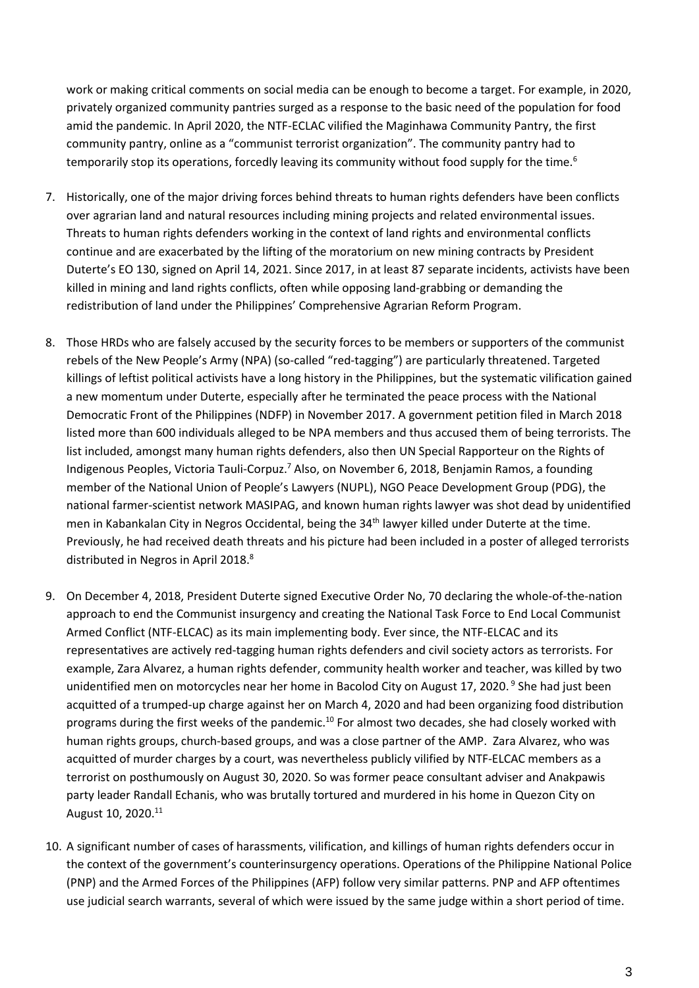work or making critical comments on social media can be enough to become a target. For example, in 2020, privately organized community pantries surged as a response to the basic need of the population for food amid the pandemic. In April 2020, the NTF-ECLAC vilified the Maginhawa Community Pantry, the first community pantry, online as a "communist terrorist organization". The community pantry had to temporarily stop its operations, forcedly leaving its community without food supply for the time.<sup>6</sup>

- 7. Historically, one of the major driving forces behind threats to human rights defenders have been conflicts over agrarian land and natural resources including mining projects and related environmental issues. Threats to human rights defenders working in the context of land rights and environmental conflicts continue and are exacerbated by the lifting of the moratorium on new mining contracts by President Duterte's EO 130, signed on April 14, 2021. Since 2017, in at least 87 separate incidents, activists have been killed in mining and land rights conflicts, often while opposing land-grabbing or demanding the redistribution of land under the Philippines' Comprehensive Agrarian Reform Program.
- 8. Those HRDs who are falsely accused by the security forces to be members or supporters of the communist rebels of the New People's Army (NPA) (so-called "red-tagging") are particularly threatened. Targeted killings of leftist political activists have a long history in the Philippines, but the systematic vilification gained a new momentum under Duterte, especially after he terminated the peace process with the National Democratic Front of the Philippines (NDFP) in November 2017. A government petition filed in March 2018 listed more than 600 individuals alleged to be NPA members and thus accused them of being terrorists. The list included, amongst many human rights defenders, also then UN Special Rapporteur on the Rights of Indigenous Peoples, Victoria Tauli-Corpuz.<sup>7</sup> Also, on November 6, 2018, Benjamin Ramos, a founding member of the National Union of People's Lawyers (NUPL), NGO Peace Development Group (PDG), the national farmer-scientist network MASIPAG, and known human rights lawyer was shot dead by unidentified men in Kabankalan City in Negros Occidental, being the 34<sup>th</sup> lawyer killed under Duterte at the time. Previously, he had received death threats and his picture had been included in a poster of alleged terrorists distributed in Negros in April 2018.<sup>8</sup>
- 9. On December 4, 2018, President Duterte signed Executive Order No, 70 declaring the whole-of-the-nation approach to end the Communist insurgency and creating the National Task Force to End Local Communist Armed Conflict (NTF-ELCAC) as its main implementing body. Ever since, the NTF-ELCAC and its representatives are actively red-tagging human rights defenders and civil society actors as terrorists. For example, Zara Alvarez, a human rights defender, community health worker and teacher, was killed by two unidentified men on motorcycles near her home in Bacolod City on August 17, 2020.<sup>9</sup> She had just been acquitted of a trumped-up charge against her on March 4, 2020 and had been organizing food distribution programs during the first weeks of the pandemic.<sup>10</sup> For almost two decades, she had closely worked with human rights groups, church-based groups, and was a close partner of the AMP. Zara Alvarez, who was acquitted of murder charges by a court, was nevertheless publicly vilified by NTF-ELCAC members as a terrorist on posthumously on August 30, 2020. So was former peace consultant adviser and Anakpawis party leader Randall Echanis, who was brutally tortured and murdered in his home in Quezon City on August 10, 2020.<sup>11</sup>
- 10. A significant number of cases of harassments, vilification, and killings of human rights defenders occur in the context of the government's counterinsurgency operations. Operations of the Philippine National Police (PNP) and the Armed Forces of the Philippines (AFP) follow very similar patterns. PNP and AFP oftentimes use judicial search warrants, several of which were issued by the same judge within a short period of time.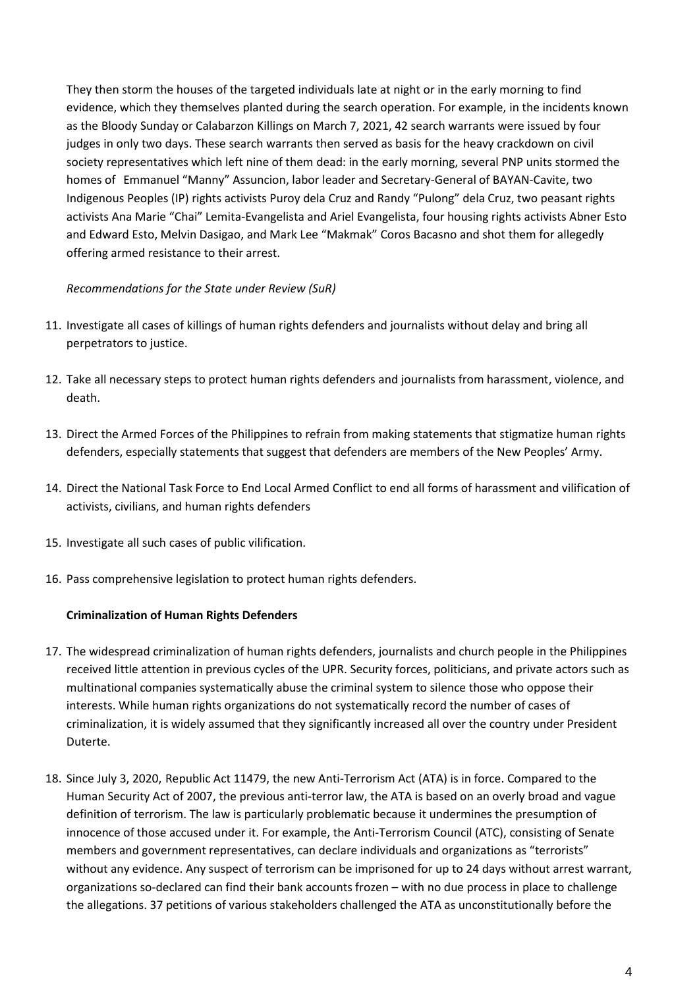They then storm the houses of the targeted individuals late at night or in the early morning to find evidence, which they themselves planted during the search operation. For example, in the incidents known as the Bloody Sunday or Calabarzon Killings on March 7, 2021, 42 search warrants were issued by four judges in only two days. These search warrants then served as basis for the heavy crackdown on civil society representatives which left nine of them dead: in the early morning, several PNP units stormed the homes of Emmanuel "Manny" Assuncion, labor leader and Secretary-General of BAYAN-Cavite, two Indigenous Peoples (IP) rights activists Puroy dela Cruz and Randy "Pulong" dela Cruz, two peasant rights activists Ana Marie "Chai" Lemita-Evangelista and Ariel Evangelista, four housing rights activists Abner Esto and Edward Esto, Melvin Dasigao, and Mark Lee "Makmak" Coros Bacasno and shot them for allegedly offering armed resistance to their arrest.

## *Recommendations for the State under Review (SuR)*

- 11. Investigate all cases of killings of human rights defenders and journalists without delay and bring all perpetrators to justice.
- 12. Take all necessary steps to protect human rights defenders and journalists from harassment, violence, and death.
- 13. Direct the Armed Forces of the Philippines to refrain from making statements that stigmatize human rights defenders, especially statements that suggest that defenders are members of the New Peoples' Army.
- 14. Direct the National Task Force to End Local Armed Conflict to end all forms of harassment and vilification of activists, civilians, and human rights defenders
- 15. Investigate all such cases of public vilification.
- 16. Pass comprehensive legislation to protect human rights defenders.

#### **Criminalization of Human Rights Defenders**

- 17. The widespread criminalization of human rights defenders, journalists and church people in the Philippines received little attention in previous cycles of the UPR. Security forces, politicians, and private actors such as multinational companies systematically abuse the criminal system to silence those who oppose their interests. While human rights organizations do not systematically record the number of cases of criminalization, it is widely assumed that they significantly increased all over the country under President Duterte.
- 18. Since July 3, 2020, Republic Act 11479, the new Anti-Terrorism Act (ATA) is in force. Compared to the Human Security Act of 2007, the previous anti-terror law, the ATA is based on an overly broad and vague definition of terrorism. The law is particularly problematic because it undermines the presumption of innocence of those accused under it. For example, the Anti-Terrorism Council (ATC), consisting of Senate members and government representatives, can declare individuals and organizations as "terrorists" without any evidence. Any suspect of terrorism can be imprisoned for up to 24 days without arrest warrant, organizations so-declared can find their bank accounts frozen – with no due process in place to challenge the allegations. 37 petitions of various stakeholders challenged the ATA as unconstitutionally before the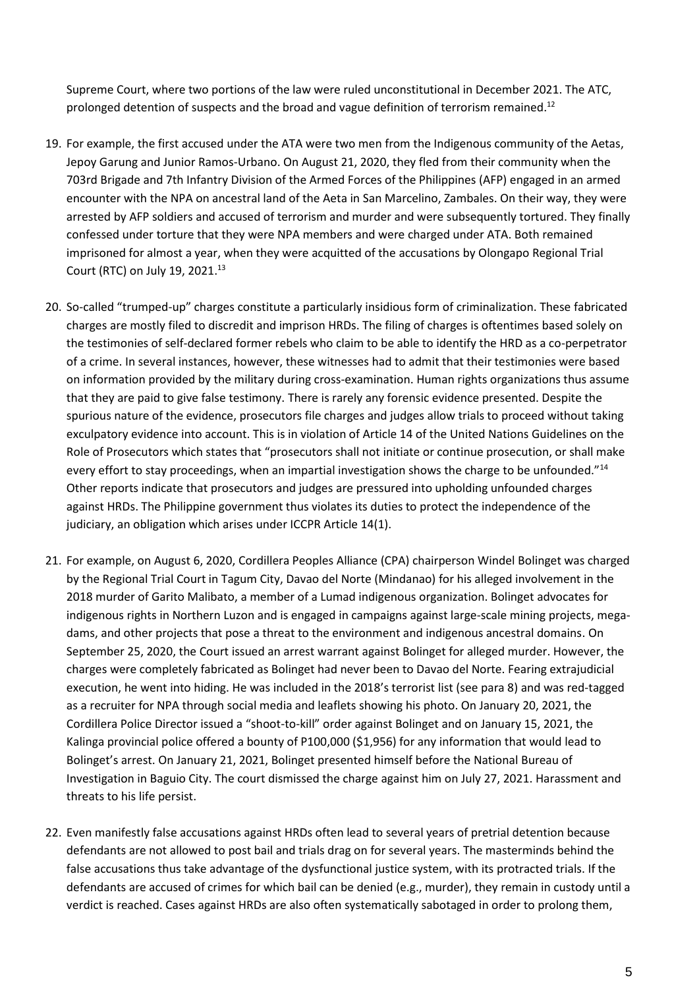Supreme Court, where two portions of the law were ruled unconstitutional in December 2021. The ATC, prolonged detention of suspects and the broad and vague definition of terrorism remained.<sup>12</sup>

- 19. For example, the first accused under the ATA were two men from the Indigenous community of the Aetas, Jepoy Garung and Junior Ramos-Urbano. On August 21, 2020, they fled from their community when the 703rd Brigade and 7th Infantry Division of the Armed Forces of the Philippines (AFP) engaged in an armed encounter with the NPA on ancestral land of the Aeta in San Marcelino, Zambales. On their way, they were arrested by AFP soldiers and accused of terrorism and murder and were subsequently tortured. They finally confessed under torture that they were NPA members and were charged under ATA. Both remained imprisoned for almost a year, when they were acquitted of the accusations by Olongapo Regional Trial Court (RTC) on July 19, 2021. 13
- 20. So-called "trumped-up" charges constitute a particularly insidious form of criminalization. These fabricated charges are mostly filed to discredit and imprison HRDs. The filing of charges is oftentimes based solely on the testimonies of self-declared former rebels who claim to be able to identify the HRD as a co-perpetrator of a crime. In several instances, however, these witnesses had to admit that their testimonies were based on information provided by the military during cross-examination. Human rights organizations thus assume that they are paid to give false testimony. There is rarely any forensic evidence presented. Despite the spurious nature of the evidence, prosecutors file charges and judges allow trials to proceed without taking exculpatory evidence into account. This is in violation of Article 14 of the United Nations Guidelines on the Role of Prosecutors which states that "prosecutors shall not initiate or continue prosecution, or shall make every effort to stay proceedings, when an impartial investigation shows the charge to be unfounded."<sup>14</sup> Other reports indicate that prosecutors and judges are pressured into upholding unfounded charges against HRDs. The Philippine government thus violates its duties to protect the independence of the judiciary, an obligation which arises under ICCPR Article 14(1).
- 21. For example, on August 6, 2020, Cordillera Peoples Alliance (CPA) chairperson Windel Bolinget was charged by the Regional Trial Court in Tagum City, Davao del Norte (Mindanao) for his alleged involvement in the 2018 murder of Garito Malibato, a member of a Lumad indigenous organization. Bolinget advocates for indigenous rights in Northern Luzon and is engaged in campaigns against large-scale mining projects, megadams, and other projects that pose a threat to the environment and indigenous ancestral domains. On September 25, 2020, the Court issued an arrest warrant against Bolinget for alleged murder. However, the charges were completely fabricated as Bolinget had never been to Davao del Norte. Fearing extrajudicial execution, he went into hiding. He was included in the 2018's terrorist list (see para 8) and was red-tagged as a recruiter for NPA through social media and leaflets showing his photo. On January 20, 2021, the Cordillera Police Director issued a "shoot-to-kill" order against Bolinget and on January 15, 2021, the Kalinga provincial police offered a bounty of P100,000 (\$1,956) for any information that would lead to Bolinget's arrest. On January 21, 2021, Bolinget presented himself before the National Bureau of Investigation in Baguio City. The court dismissed the charge against him on July 27, 2021. Harassment and threats to his life persist.
- 22. Even manifestly false accusations against HRDs often lead to several years of pretrial detention because defendants are not allowed to post bail and trials drag on for several years. The masterminds behind the false accusations thus take advantage of the dysfunctional justice system, with its protracted trials. If the defendants are accused of crimes for which bail can be denied (e.g., murder), they remain in custody until a verdict is reached. Cases against HRDs are also often systematically sabotaged in order to prolong them,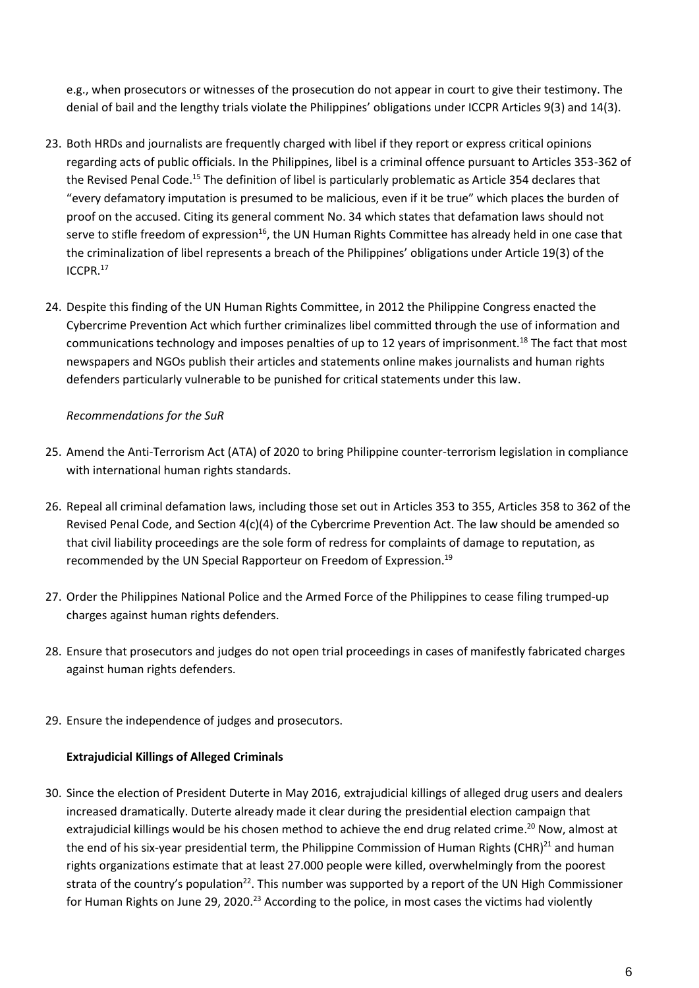e.g., when prosecutors or witnesses of the prosecution do not appear in court to give their testimony. The denial of bail and the lengthy trials violate the Philippines' obligations under ICCPR Articles 9(3) and 14(3).

- 23. Both HRDs and journalists are frequently charged with libel if they report or express critical opinions regarding acts of public officials. In the Philippines, libel is a criminal offence pursuant to Articles 353-362 of the Revised Penal Code.<sup>15</sup> The definition of libel is particularly problematic as Article 354 declares that "every defamatory imputation is presumed to be malicious, even if it be true" which places the burden of proof on the accused. Citing its general comment No. 34 which states that defamation laws should not serve to stifle freedom of expression<sup>16</sup>, the UN Human Rights Committee has already held in one case that the criminalization of libel represents a breach of the Philippines' obligations under Article 19(3) of the ICCPR.<sup>17</sup>
- 24. Despite this finding of the UN Human Rights Committee, in 2012 the Philippine Congress enacted the Cybercrime Prevention Act which further criminalizes libel committed through the use of information and communications technology and imposes penalties of up to 12 years of imprisonment.<sup>18</sup> The fact that most newspapers and NGOs publish their articles and statements online makes journalists and human rights defenders particularly vulnerable to be punished for critical statements under this law.

## *Recommendations for the SuR*

- 25. Amend the Anti-Terrorism Act (ATA) of 2020 to bring Philippine counter-terrorism legislation in compliance with international human rights standards.
- 26. Repeal all criminal defamation laws, including those set out in Articles 353 to 355, Articles 358 to 362 of the Revised Penal Code, and Section 4(c)(4) of the Cybercrime Prevention Act. The law should be amended so that civil liability proceedings are the sole form of redress for complaints of damage to reputation, as recommended by the UN Special Rapporteur on Freedom of Expression.<sup>19</sup>
- 27. Order the Philippines National Police and the Armed Force of the Philippines to cease filing trumped-up charges against human rights defenders.
- 28. Ensure that prosecutors and judges do not open trial proceedings in cases of manifestly fabricated charges against human rights defenders.
- 29. Ensure the independence of judges and prosecutors.

## **Extrajudicial Killings of Alleged Criminals**

30. Since the election of President Duterte in May 2016, extrajudicial killings of alleged drug users and dealers increased dramatically. Duterte already made it clear during the presidential election campaign that extrajudicial killings would be his chosen method to achieve the end drug related crime.<sup>20</sup> Now, almost at the end of his six-year presidential term, the Philippine Commission of Human Rights (CHR)<sup>21</sup> and human rights organizations estimate that at least 27.000 people were killed, overwhelmingly from the poorest strata of the country's population<sup>22</sup>. This number was supported by a report of the UN High Commissioner for Human Rights on June 29, 2020.<sup>23</sup> According to the police, in most cases the victims had violently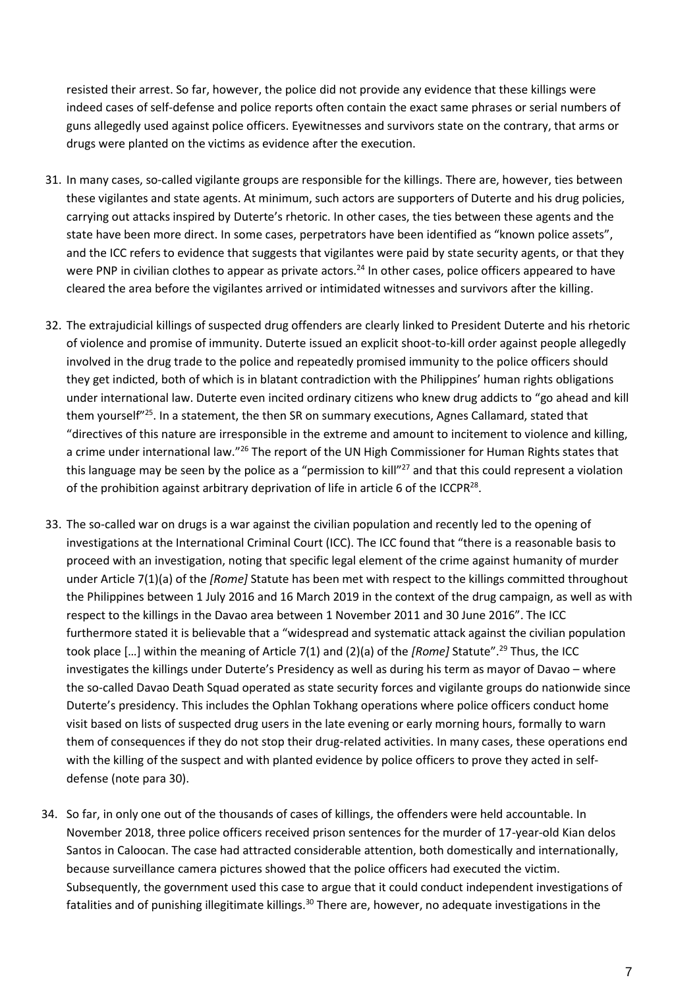resisted their arrest. So far, however, the police did not provide any evidence that these killings were indeed cases of self-defense and police reports often contain the exact same phrases or serial numbers of guns allegedly used against police officers. Eyewitnesses and survivors state on the contrary, that arms or drugs were planted on the victims as evidence after the execution.

- 31. In many cases, so-called vigilante groups are responsible for the killings. There are, however, ties between these vigilantes and state agents. At minimum, such actors are supporters of Duterte and his drug policies, carrying out attacks inspired by Duterte's rhetoric. In other cases, the ties between these agents and the state have been more direct. In some cases, perpetrators have been identified as "known police assets", and the ICC refers to evidence that suggests that vigilantes were paid by state security agents, or that they were PNP in civilian clothes to appear as private actors.<sup>24</sup> In other cases, police officers appeared to have cleared the area before the vigilantes arrived or intimidated witnesses and survivors after the killing.
- 32. The extrajudicial killings of suspected drug offenders are clearly linked to President Duterte and his rhetoric of violence and promise of immunity. Duterte issued an explicit shoot-to-kill order against people allegedly involved in the drug trade to the police and repeatedly promised immunity to the police officers should they get indicted, both of which is in blatant contradiction with the Philippines' human rights obligations under international law. Duterte even incited ordinary citizens who knew drug addicts to "go ahead and kill them yourself"<sup>25</sup>. In a statement, the then SR on summary executions, Agnes Callamard, stated that "directives of this nature are irresponsible in the extreme and amount to incitement to violence and killing, a crime under international law."<sup>26</sup> The report of the UN High Commissioner for Human Rights states that this language may be seen by the police as a "permission to kill"<sup>27</sup> and that this could represent a violation of the prohibition against arbitrary deprivation of life in article 6 of the ICCPR<sup>28</sup>.
- 33. The so-called war on drugs is a war against the civilian population and recently led to the opening of investigations at the International Criminal Court (ICC). The ICC found that "there is a reasonable basis to proceed with an investigation, noting that specific legal element of the crime against humanity of murder under Article 7(1)(a) of the *[Rome]* Statute has been met with respect to the killings committed throughout the Philippines between 1 July 2016 and 16 March 2019 in the context of the drug campaign, as well as with respect to the killings in the Davao area between 1 November 2011 and 30 June 2016". The ICC furthermore stated it is believable that a "widespread and systematic attack against the civilian population took place […] within the meaning of Article 7(1) and (2)(a) of the *[Rome]* Statute".<sup>29</sup> Thus, the ICC investigates the killings under Duterte's Presidency as well as during his term as mayor of Davao – where the so-called Davao Death Squad operated as state security forces and vigilante groups do nationwide since Duterte's presidency. This includes the Ophlan Tokhang operations where police officers conduct home visit based on lists of suspected drug users in the late evening or early morning hours, formally to warn them of consequences if they do not stop their drug-related activities. In many cases, these operations end with the killing of the suspect and with planted evidence by police officers to prove they acted in selfdefense (note para 30).
- 34. So far, in only one out of the thousands of cases of killings, the offenders were held accountable. In November 2018, three police officers received prison sentences for the murder of 17-year-old Kian delos Santos in Caloocan. The case had attracted considerable attention, both domestically and internationally, because surveillance camera pictures showed that the police officers had executed the victim. Subsequently, the government used this case to argue that it could conduct independent investigations of fatalities and of punishing illegitimate killings.<sup>30</sup> There are, however, no adequate investigations in the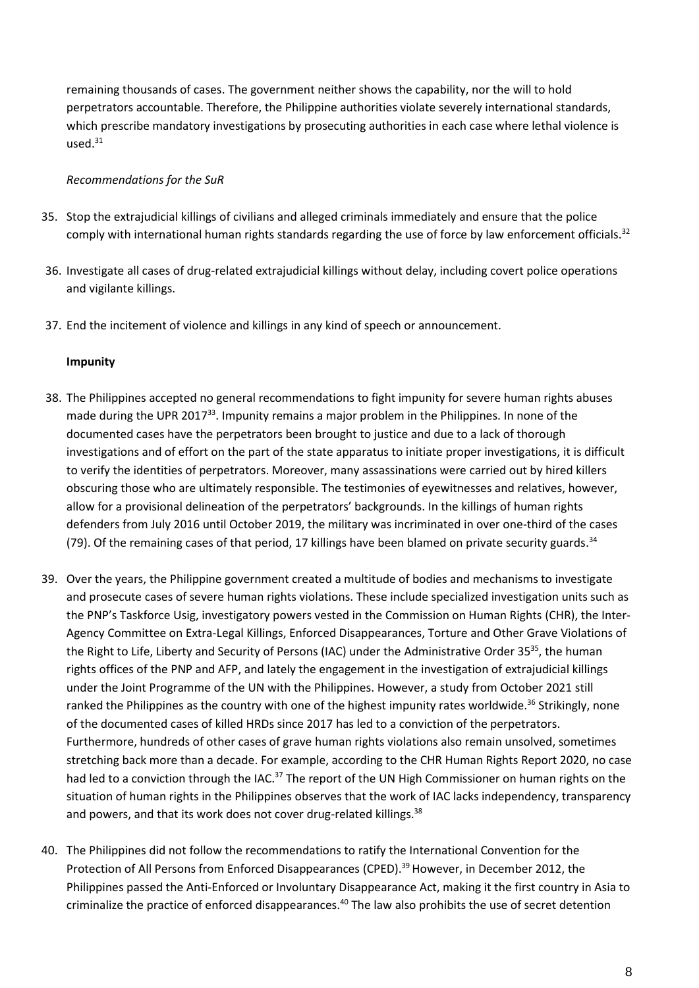remaining thousands of cases. The government neither shows the capability, nor the will to hold perpetrators accountable. Therefore, the Philippine authorities violate severely international standards, which prescribe mandatory investigations by prosecuting authorities in each case where lethal violence is  $used.<sup>31</sup>$ 

### *Recommendations for the SuR*

- 35. Stop the extrajudicial killings of civilians and alleged criminals immediately and ensure that the police comply with international human rights standards regarding the use of force by law enforcement officials.<sup>32</sup>
- 36. Investigate all cases of drug-related extrajudicial killings without delay, including covert police operations and vigilante killings.
- 37. End the incitement of violence and killings in any kind of speech or announcement.

#### **Impunity**

- 38. The Philippines accepted no general recommendations to fight impunity for severe human rights abuses made during the UPR 2017<sup>33</sup>. Impunity remains a major problem in the Philippines. In none of the documented cases have the perpetrators been brought to justice and due to a lack of thorough investigations and of effort on the part of the state apparatus to initiate proper investigations, it is difficult to verify the identities of perpetrators. Moreover, many assassinations were carried out by hired killers obscuring those who are ultimately responsible. The testimonies of eyewitnesses and relatives, however, allow for a provisional delineation of the perpetrators' backgrounds. In the killings of human rights defenders from July 2016 until October 2019, the military was incriminated in over one-third of the cases (79). Of the remaining cases of that period, 17 killings have been blamed on private security guards.<sup>34</sup>
- 39. Over the years, the Philippine government created a multitude of bodies and mechanisms to investigate and prosecute cases of severe human rights violations. These include specialized investigation units such as the PNP's Taskforce Usig, investigatory powers vested in the Commission on Human Rights (CHR), the Inter-Agency Committee on Extra-Legal Killings, Enforced Disappearances, Torture and Other Grave Violations of the Right to Life, Liberty and Security of Persons (IAC) under the Administrative Order 35<sup>35</sup>, the human rights offices of the PNP and AFP, and lately the engagement in the investigation of extrajudicial killings under the Joint Programme of the UN with the Philippines. However, a study from October 2021 still ranked the Philippines as the country with one of the highest impunity rates worldwide.<sup>36</sup> Strikingly, none of the documented cases of killed HRDs since 2017 has led to a conviction of the perpetrators. Furthermore, hundreds of other cases of grave human rights violations also remain unsolved, sometimes stretching back more than a decade. For example, according to the CHR Human Rights Report 2020, no case had led to a conviction through the IAC.<sup>37</sup> The report of the UN High Commissioner on human rights on the situation of human rights in the Philippines observes that the work of IAC lacks independency, transparency and powers, and that its work does not cover drug-related killings.<sup>38</sup>
- 40. The Philippines did not follow the recommendations to ratify the International Convention for the Protection of All Persons from Enforced Disappearances (CPED). <sup>39</sup> However, in December 2012, the Philippines passed the Anti-Enforced or Involuntary Disappearance Act, making it the first country in Asia to criminalize the practice of enforced disappearances.<sup>40</sup> The law also prohibits the use of secret detention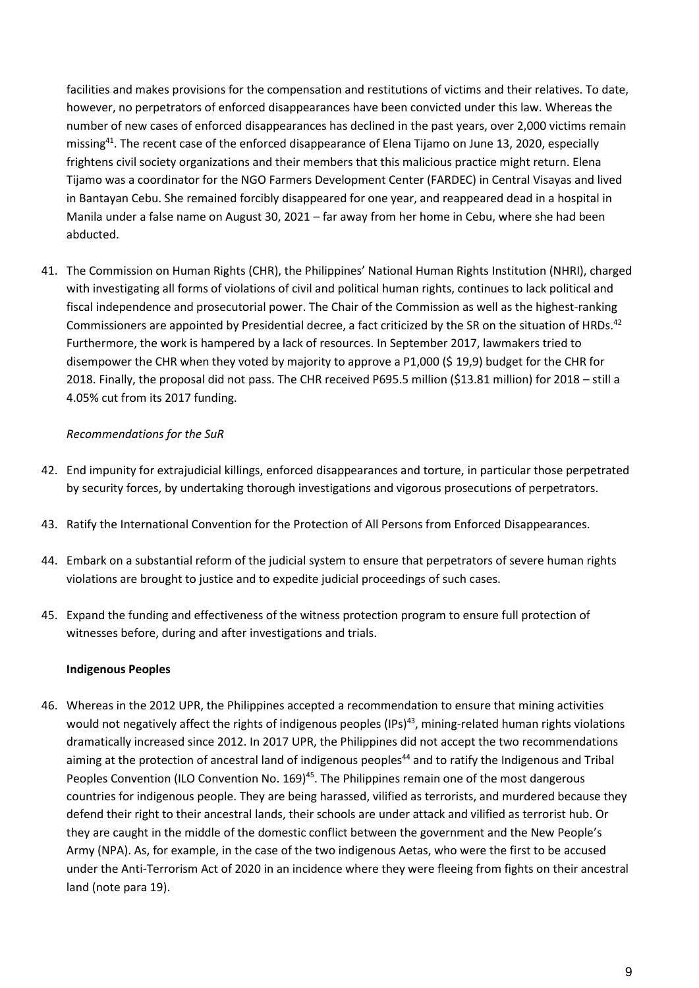facilities and makes provisions for the compensation and restitutions of victims and their relatives. To date, however, no perpetrators of enforced disappearances have been convicted under this law. Whereas the number of new cases of enforced disappearances has declined in the past years, over 2,000 victims remain missing<sup>41</sup>. The recent case of the enforced disappearance of Elena Tijamo on June 13, 2020, especially frightens civil society organizations and their members that this malicious practice might return. Elena Tijamo was a coordinator for the NGO Farmers Development Center (FARDEC) in Central Visayas and lived in Bantayan Cebu. She remained forcibly disappeared for one year, and reappeared dead in a hospital in Manila under a false name on August 30, 2021 – far away from her home in Cebu, where she had been abducted.

41. The Commission on Human Rights (CHR), the Philippines' National Human Rights Institution (NHRI), charged with investigating all forms of violations of civil and political human rights, continues to lack political and fiscal independence and prosecutorial power. The Chair of the Commission as well as the highest-ranking Commissioners are appointed by Presidential decree, a fact criticized by the SR on the situation of HRDs.<sup>42</sup> Furthermore, the work is hampered by a lack of resources. In September 2017, lawmakers tried to disempower the CHR when they voted by majority to approve a P1,000 (\$ 19,9) budget for the CHR for 2018. Finally, the proposal did not pass. The CHR received P695.5 million (\$13.81 million) for 2018 – still a 4.05% cut from its 2017 funding.

## *Recommendations for the SuR*

- 42. End impunity for extrajudicial killings, enforced disappearances and torture, in particular those perpetrated by security forces, by undertaking thorough investigations and vigorous prosecutions of perpetrators.
- 43. Ratify the International Convention for the Protection of All Persons from Enforced Disappearances.
- 44. Embark on a substantial reform of the judicial system to ensure that perpetrators of severe human rights violations are brought to justice and to expedite judicial proceedings of such cases.
- 45. Expand the funding and effectiveness of the witness protection program to ensure full protection of witnesses before, during and after investigations and trials.

## **Indigenous Peoples**

46. Whereas in the 2012 UPR, the Philippines accepted a recommendation to ensure that mining activities would not negatively affect the rights of indigenous peoples (IPs)<sup>43</sup>, mining-related human rights violations dramatically increased since 2012. In 2017 UPR, the Philippines did not accept the two recommendations aiming at the protection of ancestral land of indigenous peoples<sup>44</sup> and to ratify the Indigenous and Tribal Peoples Convention (ILO Convention No. 169)<sup>45</sup>. The Philippines remain one of the most dangerous countries for indigenous people. They are being harassed, vilified as terrorists, and murdered because they defend their right to their ancestral lands, their schools are under attack and vilified as terrorist hub. Or they are caught in the middle of the domestic conflict between the government and the New People's Army (NPA). As, for example, in the case of the two indigenous Aetas, who were the first to be accused under the Anti-Terrorism Act of 2020 in an incidence where they were fleeing from fights on their ancestral land (note para 19).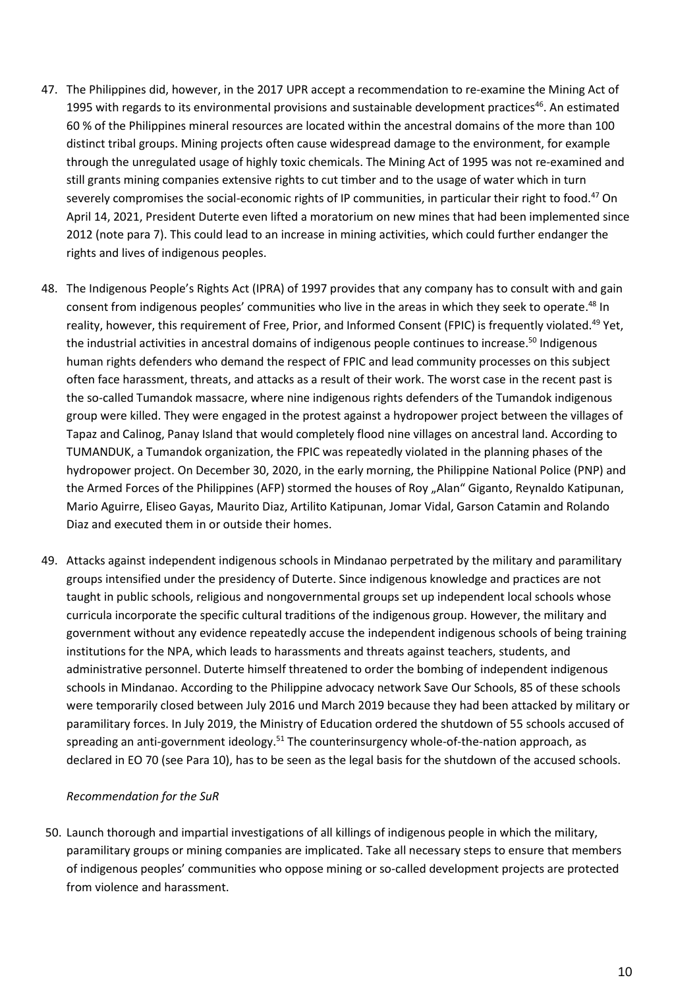- 47. The Philippines did, however, in the 2017 UPR accept a recommendation to re-examine the Mining Act of 1995 with regards to its environmental provisions and sustainable development practices<sup>46</sup>. An estimated 60 % of the Philippines mineral resources are located within the ancestral domains of the more than 100 distinct tribal groups. Mining projects often cause widespread damage to the environment, for example through the unregulated usage of highly toxic chemicals. The Mining Act of 1995 was not re-examined and still grants mining companies extensive rights to cut timber and to the usage of water which in turn severely compromises the social-economic rights of IP communities, in particular their right to food.<sup>47</sup> On April 14, 2021, President Duterte even lifted a moratorium on new mines that had been implemented since 2012 (note para 7). This could lead to an increase in mining activities, which could further endanger the rights and lives of indigenous peoples.
- 48. The Indigenous People's Rights Act (IPRA) of 1997 provides that any company has to consult with and gain consent from indigenous peoples' communities who live in the areas in which they seek to operate.<sup>48</sup> In reality, however, this requirement of Free, Prior, and Informed Consent (FPIC) is frequently violated.<sup>49</sup> Yet, the industrial activities in ancestral domains of indigenous people continues to increase.<sup>50</sup> Indigenous human rights defenders who demand the respect of FPIC and lead community processes on this subject often face harassment, threats, and attacks as a result of their work. The worst case in the recent past is the so-called Tumandok massacre, where nine indigenous rights defenders of the Tumandok indigenous group were killed. They were engaged in the protest against a hydropower project between the villages of Tapaz and Calinog, Panay Island that would completely flood nine villages on ancestral land. According to TUMANDUK, a Tumandok organization, the FPIC was repeatedly violated in the planning phases of the hydropower project. On December 30, 2020, in the early morning, the Philippine National Police (PNP) and the Armed Forces of the Philippines (AFP) stormed the houses of Roy "Alan" Giganto, Reynaldo Katipunan, Mario Aguirre, Eliseo Gayas, Maurito Diaz, Artilito Katipunan, Jomar Vidal, Garson Catamin and Rolando Diaz and executed them in or outside their homes.
- 49. Attacks against independent indigenous schools in Mindanao perpetrated by the military and paramilitary groups intensified under the presidency of Duterte. Since indigenous knowledge and practices are not taught in public schools, religious and nongovernmental groups set up independent local schools whose curricula incorporate the specific cultural traditions of the indigenous group. However, the military and government without any evidence repeatedly accuse the independent indigenous schools of being training institutions for the NPA, which leads to harassments and threats against teachers, students, and administrative personnel. Duterte himself threatened to order the bombing of independent indigenous schools in Mindanao. According to the Philippine advocacy network Save Our Schools, 85 of these schools were temporarily closed between July 2016 und March 2019 because they had been attacked by military or paramilitary forces. In July 2019, the Ministry of Education ordered the shutdown of 55 schools accused of spreading an anti-government ideology.<sup>51</sup> The counterinsurgency whole-of-the-nation approach, as declared in EO 70 (see Para 10), has to be seen as the legal basis for the shutdown of the accused schools.

## *Recommendation for the SuR*

50. Launch thorough and impartial investigations of all killings of indigenous people in which the military, paramilitary groups or mining companies are implicated. Take all necessary steps to ensure that members of indigenous peoples' communities who oppose mining or so-called development projects are protected from violence and harassment.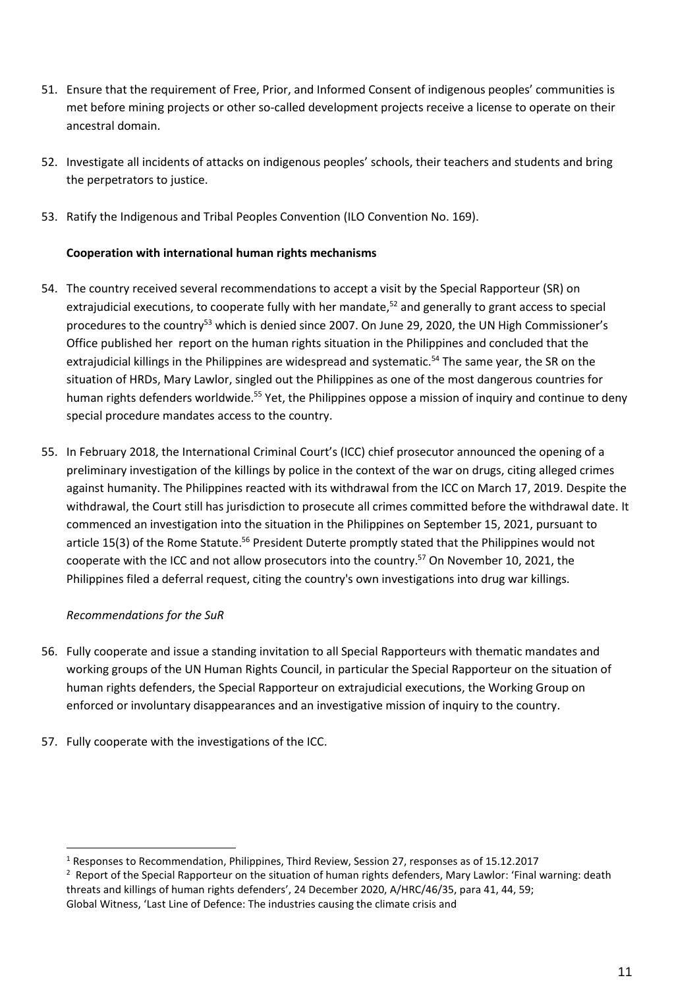- 51. Ensure that the requirement of Free, Prior, and Informed Consent of indigenous peoples' communities is met before mining projects or other so-called development projects receive a license to operate on their ancestral domain.
- 52. Investigate all incidents of attacks on indigenous peoples' schools, their teachers and students and bring the perpetrators to justice.
- 53. Ratify the Indigenous and Tribal Peoples Convention (ILO Convention No. 169).

## **Cooperation with international human rights mechanisms**

- 54. The country received several recommendations to accept a visit by the Special Rapporteur (SR) on extrajudicial executions, to cooperate fully with her mandate,<sup>52</sup> and generally to grant access to special procedures to the country<sup>53</sup> which is denied since 2007. On June 29, 2020, the UN High Commissioner's Office published her report on the human rights situation in the Philippines and concluded that the extrajudicial killings in the Philippines are widespread and systematic.<sup>54</sup> The same year, the SR on the situation of HRDs, Mary Lawlor, singled out the Philippines as one of the most dangerous countries for human rights defenders worldwide.<sup>55</sup> Yet, the Philippines oppose a mission of inquiry and continue to deny special procedure mandates access to the country.
- 55. In February 2018, the International Criminal Court's (ICC) chief prosecutor announced the opening of a preliminary investigation of the killings by police in the context of the war on drugs, citing alleged crimes against humanity. The Philippines reacted with its withdrawal from the ICC on March 17, 2019. Despite the withdrawal, the Court still has jurisdiction to prosecute all crimes committed before the withdrawal date. It commenced an investigation into the situation in the Philippines on September 15, 2021, pursuant to article 15(3) of the Rome Statute.<sup>56</sup> President Duterte promptly stated that the Philippines would not cooperate with the ICC and not allow prosecutors into the country.<sup>57</sup> On November 10, 2021, the Philippines filed a deferral request, citing the country's own investigations into drug war killings.

# *Recommendations for the SuR*

- 56. Fully cooperate and issue a standing invitation to all Special Rapporteurs with thematic mandates and working groups of the UN Human Rights Council, in particular the Special Rapporteur on the situation of human rights defenders, the Special Rapporteur on extrajudicial executions, the Working Group on enforced or involuntary disappearances and an investigative mission of inquiry to the country.
- 57. Fully cooperate with the investigations of the ICC.

<sup>1</sup> Responses to Recommendation, Philippines, Third Review, Session 27, responses as of 15.12.2017

<sup>&</sup>lt;sup>2</sup> Report of the Special Rapporteur on the situation of human rights defenders, Mary Lawlor: 'Final warning: death threats and killings of human rights defenders', 24 December 2020, A/HRC/46/35, para 41, 44, 59; Global Witness, 'Last Line of Defence: The industries causing the climate crisis and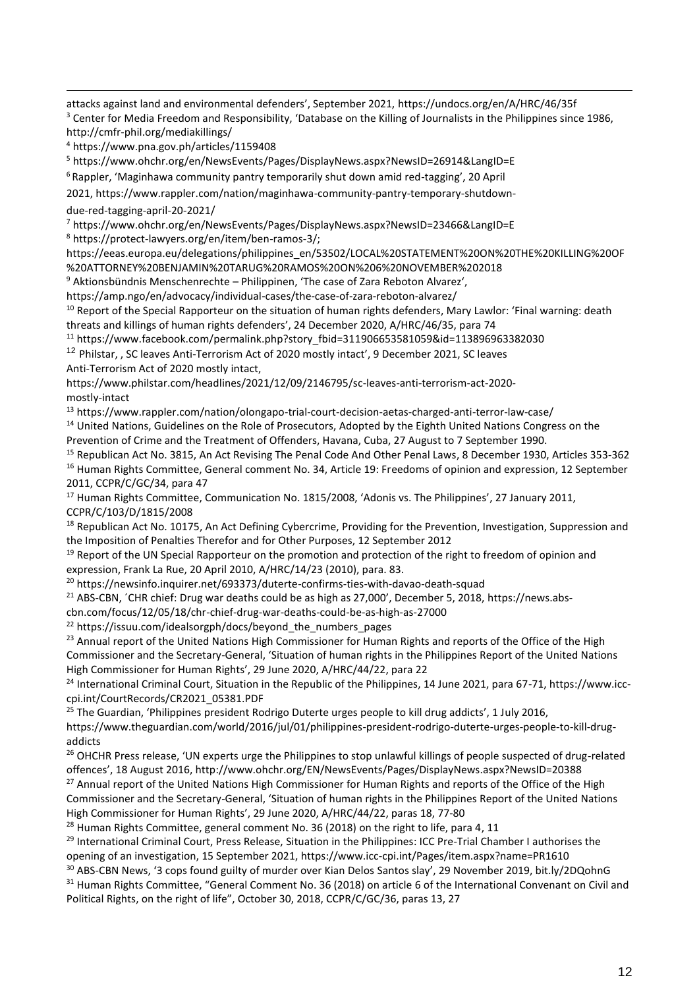attacks against land and environmental defenders', September 2021, https://undocs.org/en/A/HRC/46/35f <sup>3</sup> Center for Media Freedom and Responsibility, 'Database on the Killing of Journalists in the Philippines since 1986, http://cmfr-phil.org/mediakillings/

<sup>4</sup> https://www.pna.gov.ph/articles/1159408

<sup>5</sup> https://www.ohchr.org/en/NewsEvents/Pages/DisplayNews.aspx?NewsID=26914&LangID=E

 $6$  Rappler, 'Maginhawa community pantry temporarily shut down amid red-tagging', 20 April

2021, https://www.rappler.com/nation/maginhawa-community-pantry-temporary-shutdowndue-red-tagging-april-20-2021/

<sup>7</sup> https://www.ohchr.org/en/NewsEvents/Pages/DisplayNews.aspx?NewsID=23466&LangID=E

<sup>8</sup> [https://protect-lawyers.org/en/item/ben-ramos-3/;](https://protect-lawyers.org/en/item/ben-ramos-3/) 

https://eeas.europa.eu/delegations/philippines\_en/53502/LOCAL%20STATEMENT%20ON%20THE%20KILLING%20OF %20ATTORNEY%20BENJAMIN%20TARUG%20RAMOS%20ON%206%20NOVEMBER%202018

<sup>9</sup> Aktionsbündnis Menschenrechte – Philippinen, 'The case of Zara Reboton Alvarez',

https://amp.ngo/en/advocacy/individual-cases/the-case-of-zara-reboton-alvarez/

<sup>10</sup> Report of the Special Rapporteur on the situation of human rights defenders, Mary Lawlor: 'Final warning: death threats and killings of human rights defenders', 24 December 2020, A/HRC/46/35, para 74

<sup>11</sup> https://www.facebook.com/permalink.php?story\_fbid=311906653581059&id=113896963382030

<sup>12</sup> Philstar, . SC leaves Anti-Terrorism Act of 2020 mostly intact', 9 December 2021, SC leaves Anti-Terrorism Act of 2020 mostly intact,

https://www.philstar.com/headlines/2021/12/09/2146795/sc-leaves-anti-terrorism-act-2020 mostly-intact

<sup>13</sup> https://www.rappler.com/nation/olongapo-trial-court-decision-aetas-charged-anti-terror-law-case/

<sup>14</sup> United Nations, Guidelines on the Role of Prosecutors, Adopted by the Eighth United Nations Congress on the Prevention of Crime and the Treatment of Offenders, Havana, Cuba, 27 August to 7 September 1990.

<sup>15</sup> Republican Act No. 3815, An Act Revising The Penal Code And Other Penal Laws, 8 December 1930, Articles 353-362 <sup>16</sup> Human Rights Committee, General comment No. 34, Article 19: Freedoms of opinion and expression, 12 September 2011, CCPR/C/GC/34, para 47

<sup>17</sup> Human Rights Committee, Communication No. 1815/2008, 'Adonis vs. The Philippines', 27 January 2011, CCPR/C/103/D/1815/2008

<sup>18</sup> Republican Act No. 10175, An Act Defining Cybercrime, Providing for the Prevention, Investigation, Suppression and the Imposition of Penalties Therefor and for Other Purposes, 12 September 2012

<sup>19</sup> Report of the UN Special Rapporteur on the promotion and protection of the right to freedom of opinion and expression, Frank La Rue, 20 April 2010, A/HRC/14/23 (2010), para. 83.

<sup>20</sup> https://newsinfo.inquirer.net/693373/duterte-confirms-ties-with-davao-death-squad

<sup>21</sup> ABS-CBN, *CHR chief: Drug war deaths could be as high as 27,000'*, December 5, 2018, https://news.abs-

cbn.com/focus/12/05/18/chr-chief-drug-war-deaths-could-be-as-high-as-27000

<sup>22</sup> https://issuu.com/idealsorgph/docs/beyond\_the\_numbers\_pages

<sup>23</sup> Annual report of the United Nations High Commissioner for Human Rights and reports of the Office of the High Commissioner and the Secretary-General, 'Situation of human rights in the Philippines Report of the United Nations High Commissioner for Human Rights', 29 June 2020, A/HRC/44/22, para 22

<sup>24</sup> International Criminal Court, Situation in the Republic of the Philippines, 14 June 2021, para 67-71, https://www.icccpi.int/CourtRecords/CR2021\_05381.PDF

<sup>25</sup> The Guardian, 'Philippines president Rodrigo Duterte urges people to kill drug addicts', 1 July 2016,

https://www.theguardian.com/world/2016/jul/01/philippines-president-rodrigo-duterte-urges-people-to-kill-drugaddicts

<sup>26</sup> OHCHR Press release, 'UN experts urge the Philippines to stop unlawful killings of people suspected of drug-related offences', 18 August 2016, http://www.ohchr.org/EN/NewsEvents/Pages/DisplayNews.aspx?NewsID=20388

<sup>27</sup> Annual report of the United Nations High Commissioner for Human Rights and reports of the Office of the High Commissioner and the Secretary-General, 'Situation of human rights in the Philippines Report of the United Nations High Commissioner for Human Rights', 29 June 2020, A/HRC/44/22, paras 18, 77-80

<sup>28</sup> Human Rights Committee, general comment No. 36 (2018) on the right to life, para 4, 11

<sup>29</sup> International Criminal Court, Press Release, Situation in the Philippines: ICC Pre-Trial Chamber I authorises the opening of an investigation, 15 September 2021, https://www.icc-cpi.int/Pages/item.aspx?name=PR1610

<sup>30</sup> ABS-CBN News, '3 cops found guilty of murder over Kian Delos Santos slay', 29 November 2019, bit.ly/2DQohnG <sup>31</sup> Human Rights Committee, "General Comment No. 36 (2018) on article 6 of the International Convenant on Civil and Political Rights, on the right of life", October 30, 2018, CCPR/C/GC/36, paras 13, 27